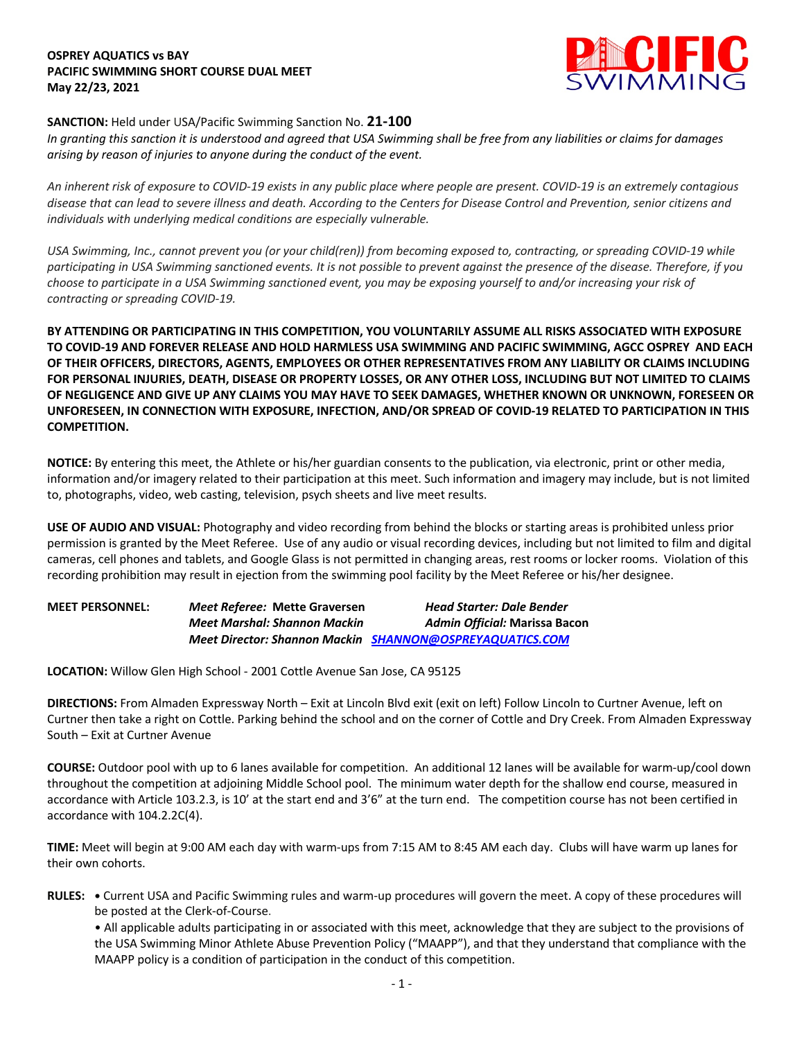## **OSPREY AQUATICS vs BAY PACIFIC SWIMMING SHORT COURSE DUAL MEET May 22/23, 2021**



## **SANCTION:** Held under USA/Pacific Swimming Sanction No. **21-100**

*In granting this sanction it is understood and agreed that USA Swimming shall be free from any liabilities or claims for damages arising by reason of injuries to anyone during the conduct of the event.* 

*An inherent risk of exposure to COVID-19 exists in any public place where people are present. COVID-19 is an extremely contagious disease that can lead to severe illness and death. According to the Centers for Disease Control and Prevention, senior citizens and individuals with underlying medical conditions are especially vulnerable.*

*USA Swimming, Inc., cannot prevent you (or your child(ren)) from becoming exposed to, contracting, or spreading COVID-19 while participating in USA Swimming sanctioned events. It is not possible to prevent against the presence of the disease. Therefore, if you choose to participate in a USA Swimming sanctioned event, you may be exposing yourself to and/or increasing your risk of contracting or spreading COVID-19.*

**BY ATTENDING OR PARTICIPATING IN THIS COMPETITION, YOU VOLUNTARILY ASSUME ALL RISKS ASSOCIATED WITH EXPOSURE TO COVID-19 AND FOREVER RELEASE AND HOLD HARMLESS USA SWIMMING AND PACIFIC SWIMMING, AGCC OSPREY AND EACH OF THEIR OFFICERS, DIRECTORS, AGENTS, EMPLOYEES OR OTHER REPRESENTATIVES FROM ANY LIABILITY OR CLAIMS INCLUDING FOR PERSONAL INJURIES, DEATH, DISEASE OR PROPERTY LOSSES, OR ANY OTHER LOSS, INCLUDING BUT NOT LIMITED TO CLAIMS OF NEGLIGENCE AND GIVE UP ANY CLAIMS YOU MAY HAVE TO SEEK DAMAGES, WHETHER KNOWN OR UNKNOWN, FORESEEN OR UNFORESEEN, IN CONNECTION WITH EXPOSURE, INFECTION, AND/OR SPREAD OF COVID-19 RELATED TO PARTICIPATION IN THIS COMPETITION.**

**NOTICE:** By entering this meet, the Athlete or his/her guardian consents to the publication, via electronic, print or other media, information and/or imagery related to their participation at this meet. Such information and imagery may include, but is not limited to, photographs, video, web casting, television, psych sheets and live meet results.

**USE OF AUDIO AND VISUAL:** Photography and video recording from behind the blocks or starting areas is prohibited unless prior permission is granted by the Meet Referee. Use of any audio or visual recording devices, including but not limited to film and digital cameras, cell phones and tablets, and Google Glass is not permitted in changing areas, rest rooms or locker rooms. Violation of this recording prohibition may result in ejection from the swimming pool facility by the Meet Referee or his/her designee.

| <b>MEET PERSONNEL:</b> | Meet Referee: Mette Graversen       | <b>Head Starter: Dale Bender</b>                                |
|------------------------|-------------------------------------|-----------------------------------------------------------------|
|                        | <b>Meet Marshal: Shannon Mackin</b> | Admin Official: Marissa Bacon                                   |
|                        |                                     | <b>Meet Director: Shannon Mackin SHANNON@OSPREYAQUATICS.COM</b> |

**LOCATION:** Willow Glen High School - 2001 Cottle Avenue San Jose, CA 95125

**DIRECTIONS:** From Almaden Expressway North – Exit at Lincoln Blvd exit (exit on left) Follow Lincoln to Curtner Avenue, left on Curtner then take a right on Cottle. Parking behind the school and on the corner of Cottle and Dry Creek. From Almaden Expressway South – Exit at Curtner Avenue

**COURSE:** Outdoor pool with up to 6 lanes available for competition. An additional 12 lanes will be available for warm-up/cool down throughout the competition at adjoining Middle School pool. The minimum water depth for the shallow end course, measured in accordance with Article 103.2.3, is 10' at the start end and 3'6" at the turn end. The competition course has not been certified in accordance with 104.2.2C(4).

**TIME:** Meet will begin at 9:00 AM each day with warm-ups from 7:15 AM to 8:45 AM each day. Clubs will have warm up lanes for their own cohorts.

**RULES: •** Current USA and Pacific Swimming rules and warm-up procedures will govern the meet. A copy of these procedures will be posted at the Clerk-of-Course.

• All applicable adults participating in or associated with this meet, acknowledge that they are subject to the provisions of the USA Swimming Minor Athlete Abuse Prevention Policy ("MAAPP"), and that they understand that compliance with the MAAPP policy is a condition of participation in the conduct of this competition.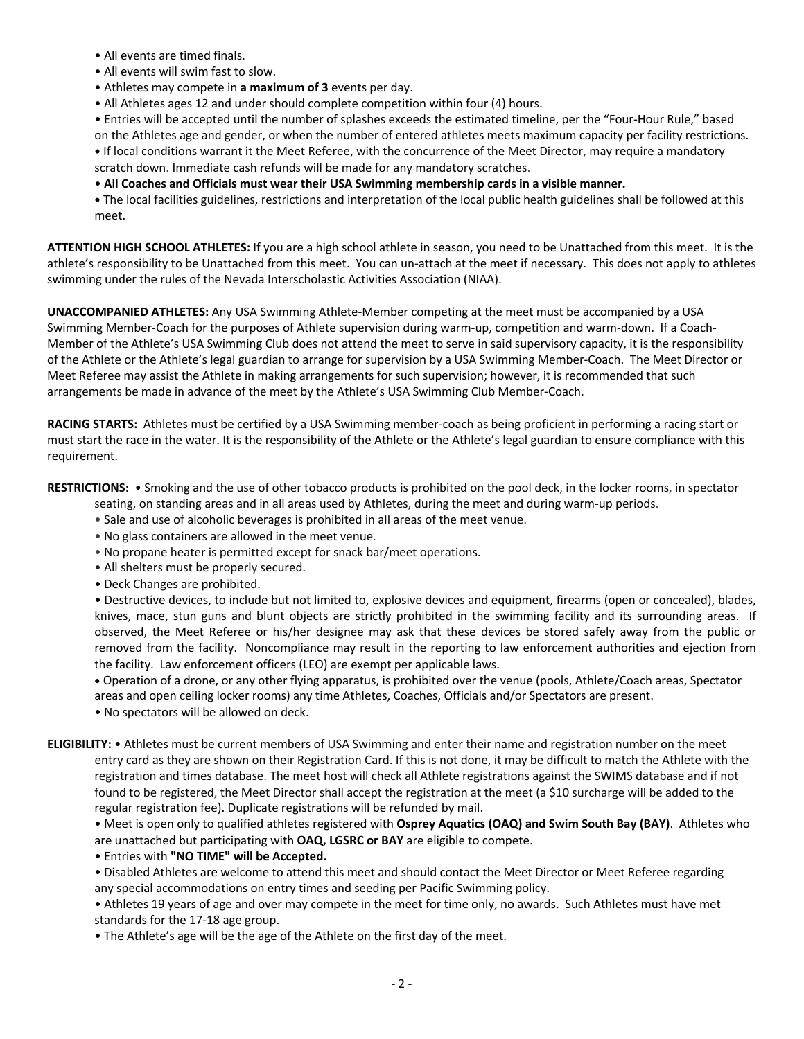- All events are timed finals.
- All events will swim fast to slow.
- Athletes may compete in **a maximum of 3** events per day.
- All Athletes ages 12 and under should complete competition within four (4) hours.

• Entries will be accepted until the number of splashes exceeds the estimated timeline, per the "Four-Hour Rule," based on the Athletes age and gender, or when the number of entered athletes meets maximum capacity per facility restrictions. **•** If local conditions warrant it the Meet Referee, with the concurrence of the Meet Director, may require a mandatory scratch down. Immediate cash refunds will be made for any mandatory scratches.

• **All Coaches and Officials must wear their USA Swimming membership cards in a visible manner.** 

**•** The local facilities guidelines, restrictions and interpretation of the local public health guidelines shall be followed at this meet.

**ATTENTION HIGH SCHOOL ATHLETES:** If you are a high school athlete in season, you need to be Unattached from this meet. It is the athlete's responsibility to be Unattached from this meet. You can un-attach at the meet if necessary. This does not apply to athletes swimming under the rules of the Nevada Interscholastic Activities Association (NIAA).

**UNACCOMPANIED ATHLETES:** Any USA Swimming Athlete-Member competing at the meet must be accompanied by a USA Swimming Member-Coach for the purposes of Athlete supervision during warm-up, competition and warm-down. If a Coach-Member of the Athlete's USA Swimming Club does not attend the meet to serve in said supervisory capacity, it is the responsibility of the Athlete or the Athlete's legal guardian to arrange for supervision by a USA Swimming Member-Coach. The Meet Director or Meet Referee may assist the Athlete in making arrangements for such supervision; however, it is recommended that such arrangements be made in advance of the meet by the Athlete's USA Swimming Club Member-Coach.

**RACING STARTS:** Athletes must be certified by a USA Swimming member-coach as being proficient in performing a racing start or must start the race in the water. It is the responsibility of the Athlete or the Athlete's legal guardian to ensure compliance with this requirement.

**RESTRICTIONS:** • Smoking and the use of other tobacco products is prohibited on the pool deck, in the locker rooms, in spectator seating, on standing areas and in all areas used by Athletes, during the meet and during warm-up periods.

- Sale and use of alcoholic beverages is prohibited in all areas of the meet venue.
- No glass containers are allowed in the meet venue.
- No propane heater is permitted except for snack bar/meet operations.
- All shelters must be properly secured.
- Deck Changes are prohibited.

• Destructive devices, to include but not limited to, explosive devices and equipment, firearms (open or concealed), blades, knives, mace, stun guns and blunt objects are strictly prohibited in the swimming facility and its surrounding areas. If observed, the Meet Referee or his/her designee may ask that these devices be stored safely away from the public or removed from the facility. Noncompliance may result in the reporting to law enforcement authorities and ejection from the facility. Law enforcement officers (LEO) are exempt per applicable laws.

• Operation of a drone, or any other flying apparatus, is prohibited over the venue (pools, Athlete/Coach areas, Spectator areas and open ceiling locker rooms) any time Athletes, Coaches, Officials and/or Spectators are present.

• No spectators will be allowed on deck.

**ELIGIBILITY:** • Athletes must be current members of USA Swimming and enter their name and registration number on the meet entry card as they are shown on their Registration Card. If this is not done, it may be difficult to match the Athlete with the registration and times database. The meet host will check all Athlete registrations against the SWIMS database and if not found to be registered, the Meet Director shall accept the registration at the meet (a \$10 surcharge will be added to the regular registration fee). Duplicate registrations will be refunded by mail.

• Meet is open only to qualified athletes registered with **Osprey Aquatics (OAQ) and Swim South Bay (BAY)**. Athletes who are unattached but participating with **OAQ, LGSRC or BAY** are eligible to compete.

• Entries with **"NO TIME" will be Accepted.**

• Disabled Athletes are welcome to attend this meet and should contact the Meet Director or Meet Referee regarding any special accommodations on entry times and seeding per Pacific Swimming policy.

• Athletes 19 years of age and over may compete in the meet for time only, no awards. Such Athletes must have met standards for the 17-18 age group.

• The Athlete's age will be the age of the Athlete on the first day of the meet.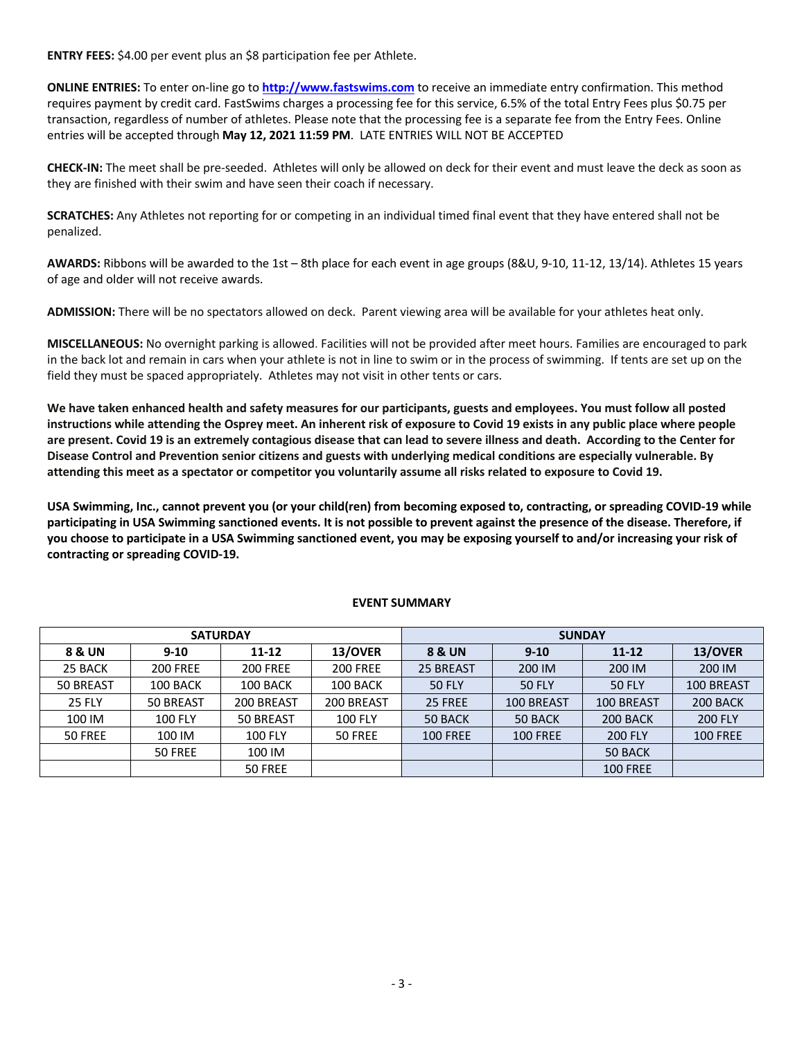**ENTRY FEES:** \$4.00 per event plus an \$8 participation fee per Athlete.

**ONLINE ENTRIES:** To enter on-line go to **http://www.fastswims.com** to receive an immediate entry confirmation. This method requires payment by credit card. FastSwims charges a processing fee for this service, 6.5% of the total Entry Fees plus \$0.75 per transaction, regardless of number of athletes. Please note that the processing fee is a separate fee from the Entry Fees. Online entries will be accepted through **May 12, 2021 11:59 PM**. LATE ENTRIES WILL NOT BE ACCEPTED

**CHECK-IN:** The meet shall be pre-seeded. Athletes will only be allowed on deck for their event and must leave the deck as soon as they are finished with their swim and have seen their coach if necessary.

**SCRATCHES:** Any Athletes not reporting for or competing in an individual timed final event that they have entered shall not be penalized.

**AWARDS:** Ribbons will be awarded to the 1st – 8th place for each event in age groups (8&U, 9-10, 11-12, 13/14). Athletes 15 years of age and older will not receive awards.

**ADMISSION:** There will be no spectators allowed on deck. Parent viewing area will be available for your athletes heat only.

**MISCELLANEOUS:** No overnight parking is allowed. Facilities will not be provided after meet hours. Families are encouraged to park in the back lot and remain in cars when your athlete is not in line to swim or in the process of swimming. If tents are set up on the field they must be spaced appropriately. Athletes may not visit in other tents or cars.

**We have taken enhanced health and safety measures for our participants, guests and employees. You must follow all posted instructions while attending the Osprey meet. An inherent risk of exposure to Covid 19 exists in any public place where people are present. Covid 19 is an extremely contagious disease that can lead to severe illness and death. According to the Center for Disease Control and Prevention senior citizens and guests with underlying medical conditions are especially vulnerable. By attending this meet as a spectator or competitor you voluntarily assume all risks related to exposure to Covid 19.**

**USA Swimming, Inc., cannot prevent you (or your child(ren) from becoming exposed to, contracting, or spreading COVID-19 while participating in USA Swimming sanctioned events. It is not possible to prevent against the presence of the disease. Therefore, if you choose to participate in a USA Swimming sanctioned event, you may be exposing yourself to and/or increasing your risk of contracting or spreading COVID-19.** 

| <b>SATURDAY</b> |                 |                 | <b>SUNDAY</b>   |                 |                 |                   |                 |
|-----------------|-----------------|-----------------|-----------------|-----------------|-----------------|-------------------|-----------------|
| 8 & UN          | $9 - 10$        | 11-12           | 13/OVER         | 8 & UN          | $9 - 10$        | $11 - 12$         | 13/OVER         |
| 25 BACK         | <b>200 FREE</b> | <b>200 FREE</b> | <b>200 FREE</b> | 25 BREAST       | 200 IM          | 200 IM            | 200 IM          |
| 50 BREAST       | 100 BACK        | 100 BACK        | 100 BACK        | <b>50 FLY</b>   | <b>50 FLY</b>   | <b>50 FLY</b>     | 100 BREAST      |
| <b>25 FLY</b>   | 50 BREAST       | 200 BREAST      | 200 BREAST      | 25 FREE         | 100 BREAST      | <b>100 BREAST</b> | 200 BACK        |
| 100 IM          | <b>100 FLY</b>  | 50 BREAST       | <b>100 FLY</b>  | 50 BACK         | 50 BACK         | 200 BACK          | <b>200 FLY</b>  |
| 50 FREE         | 100 IM          | <b>100 FLY</b>  | 50 FREE         | <b>100 FREE</b> | <b>100 FREE</b> | <b>200 FLY</b>    | <b>100 FREE</b> |
|                 | 50 FREE         | 100 IM          |                 |                 |                 | 50 BACK           |                 |
|                 |                 | 50 FREE         |                 |                 |                 | <b>100 FREE</b>   |                 |

## **EVENT SUMMARY**